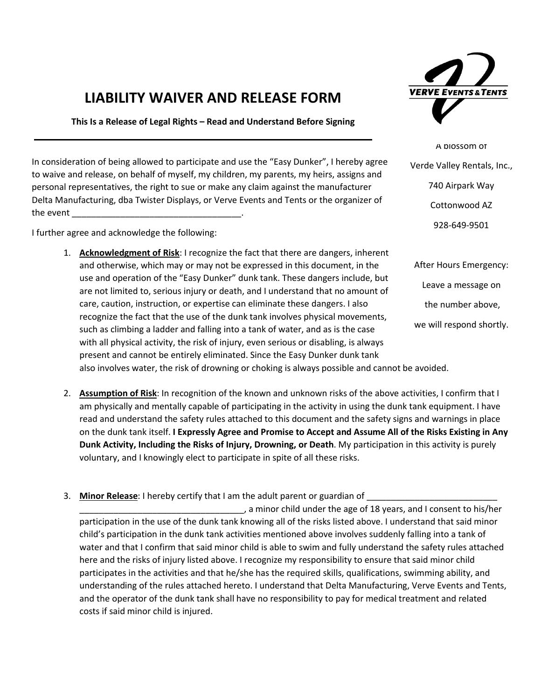## LIABILITY WAIVER AND RELEASE FORM

This Is a Release of Legal Rights – Read and Understand Before Signing

In consideration of being allowed to participate and use the "Easy Dunker", I hereby agree to waive and release, on behalf of myself, my children, my parents, my heirs, assigns and personal representatives, the right to sue or make any claim against the manufacturer Delta Manufacturing, dba Twister Displays, or Verve Events and Tents or the organizer of the event

I further agree and acknowledge the following:

1. Acknowledgment of Risk: I recognize the fact that there are dangers, inherent and otherwise, which may or may not be expressed in this document, in the use and operation of the "Easy Dunker" dunk tank. These dangers include, but are not limited to, serious injury or death, and I understand that no amount of care, caution, instruction, or expertise can eliminate these dangers. I also recognize the fact that the use of the dunk tank involves physical movements, such as climbing a ladder and falling into a tank of water, and as is the case with all physical activity, the risk of injury, even serious or disabling, is always present and cannot be entirely eliminated. Since the Easy Dunker dunk tank



A blossom of Verde Valley Rentals, Inc., 740 Airpark Way Cottonwood AZ 928-649-9501

After Hours Emergency: Leave a message on the number above, we will respond shortly.

also involves water, the risk of drowning or choking is always possible and cannot be avoided.

- 2. Assumption of Risk: In recognition of the known and unknown risks of the above activities, I confirm that I am physically and mentally capable of participating in the activity in using the dunk tank equipment. I have read and understand the safety rules attached to this document and the safety signs and warnings in place on the dunk tank itself. I Expressly Agree and Promise to Accept and Assume All of the Risks Existing in Any Dunk Activity, Including the Risks of Injury, Drowning, or Death. My participation in this activity is purely voluntary, and I knowingly elect to participate in spite of all these risks.
- 3. Minor Release: I hereby certify that I am the adult parent or guardian of

\_\_\_\_\_\_\_\_\_\_\_\_\_\_\_\_\_\_\_\_\_\_\_\_\_\_\_\_\_\_\_\_\_\_, a minor child under the age of 18 years, and I consent to his/her participation in the use of the dunk tank knowing all of the risks listed above. I understand that said minor child's participation in the dunk tank activities mentioned above involves suddenly falling into a tank of water and that I confirm that said minor child is able to swim and fully understand the safety rules attached here and the risks of injury listed above. I recognize my responsibility to ensure that said minor child participates in the activities and that he/she has the required skills, qualifications, swimming ability, and understanding of the rules attached hereto. I understand that Delta Manufacturing, Verve Events and Tents, and the operator of the dunk tank shall have no responsibility to pay for medical treatment and related costs if said minor child is injured.